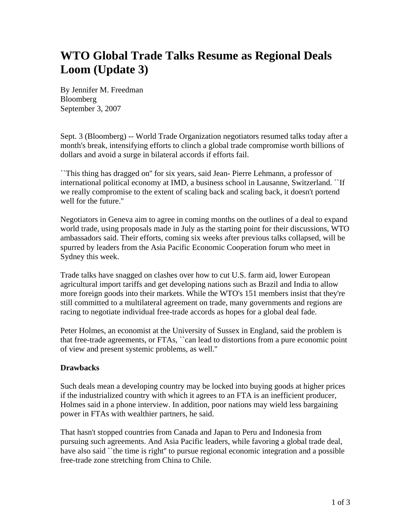# **WTO Global Trade Talks Resume as Regional Deals Loom (Update 3)**

By Jennifer M. Freedman Bloomberg September 3, 2007

Sept. 3 (Bloomberg) -- World Trade Organization negotiators resumed talks today after a month's break, intensifying efforts to clinch a global trade compromise worth billions of dollars and avoid a surge in bilateral accords if efforts fail.

``This thing has dragged on'' for six years, said Jean- Pierre Lehmann, a professor of international political economy at IMD, a business school in Lausanne, Switzerland. ``If we really compromise to the extent of scaling back and scaling back, it doesn't portend well for the future.''

Negotiators in Geneva aim to agree in coming months on the outlines of a deal to expand world trade, using proposals made in July as the starting point for their discussions, WTO ambassadors said. Their efforts, coming six weeks after previous talks collapsed, will be spurred by leaders from the Asia Pacific Economic Cooperation forum who meet in Sydney this week.

Trade talks have snagged on clashes over how to cut U.S. farm aid, lower European agricultural import tariffs and get developing nations such as Brazil and India to allow more foreign goods into their markets. While the WTO's 151 members insist that they're still committed to a multilateral agreement on trade, many governments and regions are racing to negotiate individual free-trade accords as hopes for a global deal fade.

Peter Holmes, an economist at the University of Sussex in England, said the problem is that free-trade agreements, or FTAs, ``can lead to distortions from a pure economic point of view and present systemic problems, as well.''

## **Drawbacks**

Such deals mean a developing country may be locked into buying goods at higher prices if the industrialized country with which it agrees to an FTA is an inefficient producer, Holmes said in a phone interview. In addition, poor nations may wield less bargaining power in FTAs with wealthier partners, he said.

That hasn't stopped countries from Canada and Japan to Peru and Indonesia from pursuing such agreements. And Asia Pacific leaders, while favoring a global trade deal, have also said ``the time is right'' to pursue regional economic integration and a possible free-trade zone stretching from China to Chile.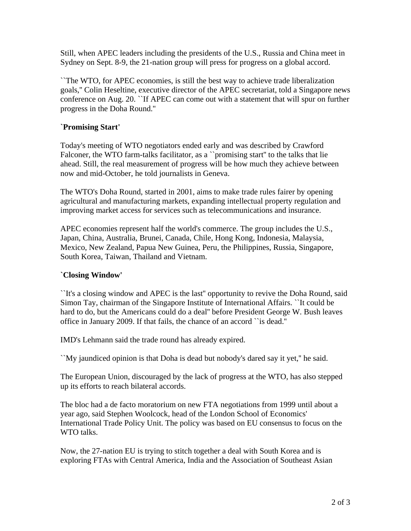Still, when APEC leaders including the presidents of the U.S., Russia and China meet in Sydney on Sept. 8-9, the 21-nation group will press for progress on a global accord.

``The WTO, for APEC economies, is still the best way to achieve trade liberalization goals,'' Colin Heseltine, executive director of the APEC secretariat, told a Singapore news conference on Aug. 20. ``If APEC can come out with a statement that will spur on further progress in the Doha Round.''

## **`Promising Start'**

Today's meeting of WTO negotiators ended early and was described by Crawford Falconer, the WTO farm-talks facilitator, as a "promising start" to the talks that lie ahead. Still, the real measurement of progress will be how much they achieve between now and mid-October, he told journalists in Geneva.

The WTO's Doha Round, started in 2001, aims to make trade rules fairer by opening agricultural and manufacturing markets, expanding intellectual property regulation and improving market access for services such as telecommunications and insurance.

APEC economies represent half the world's commerce. The group includes the U.S., Japan, China, Australia, Brunei, Canada, Chile, Hong Kong, Indonesia, Malaysia, Mexico, New Zealand, Papua New Guinea, Peru, the Philippines, Russia, Singapore, South Korea, Taiwan, Thailand and Vietnam.

## **`Closing Window'**

``It's a closing window and APEC is the last'' opportunity to revive the Doha Round, said Simon Tay, chairman of the Singapore Institute of International Affairs. ``It could be hard to do, but the Americans could do a deal'' before President George W. Bush leaves office in January 2009. If that fails, the chance of an accord ``is dead.''

IMD's Lehmann said the trade round has already expired.

``My jaundiced opinion is that Doha is dead but nobody's dared say it yet,'' he said.

The European Union, discouraged by the lack of progress at the WTO, has also stepped up its efforts to reach bilateral accords.

The bloc had a de facto moratorium on new FTA negotiations from 1999 until about a year ago, said Stephen Woolcock, head of the London School of Economics' International Trade Policy Unit. The policy was based on EU consensus to focus on the WTO talks.

Now, the 27-nation EU is trying to stitch together a deal with South Korea and is exploring FTAs with Central America, India and the Association of Southeast Asian